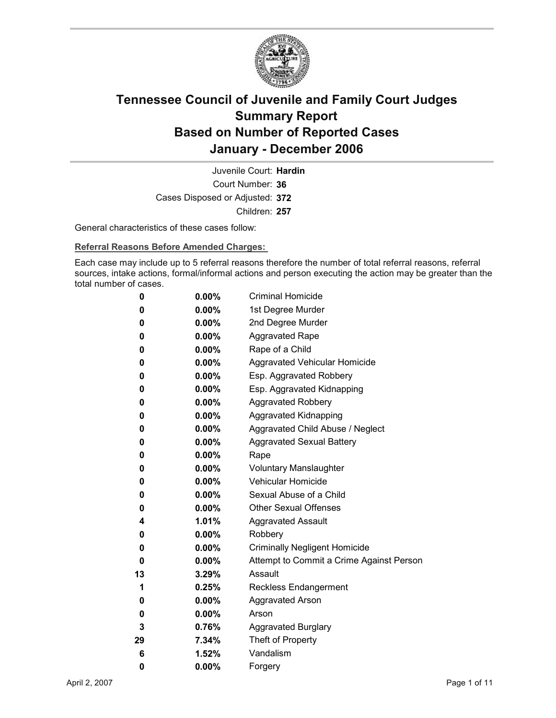

Court Number: **36** Juvenile Court: **Hardin** Cases Disposed or Adjusted: **372** Children: **257**

General characteristics of these cases follow:

**Referral Reasons Before Amended Charges:** 

Each case may include up to 5 referral reasons therefore the number of total referral reasons, referral sources, intake actions, formal/informal actions and person executing the action may be greater than the total number of cases.

| 0  | $0.00\%$ | <b>Criminal Homicide</b>                 |
|----|----------|------------------------------------------|
| 0  | $0.00\%$ | 1st Degree Murder                        |
| 0  | $0.00\%$ | 2nd Degree Murder                        |
| 0  | $0.00\%$ | <b>Aggravated Rape</b>                   |
| 0  | $0.00\%$ | Rape of a Child                          |
| 0  | $0.00\%$ | Aggravated Vehicular Homicide            |
| 0  | $0.00\%$ | Esp. Aggravated Robbery                  |
| 0  | $0.00\%$ | Esp. Aggravated Kidnapping               |
| 0  | $0.00\%$ | <b>Aggravated Robbery</b>                |
| 0  | $0.00\%$ | <b>Aggravated Kidnapping</b>             |
| 0  | $0.00\%$ | Aggravated Child Abuse / Neglect         |
| 0  | $0.00\%$ | <b>Aggravated Sexual Battery</b>         |
| 0  | $0.00\%$ | Rape                                     |
| 0  | $0.00\%$ | <b>Voluntary Manslaughter</b>            |
| 0  | $0.00\%$ | <b>Vehicular Homicide</b>                |
| 0  | $0.00\%$ | Sexual Abuse of a Child                  |
| 0  | $0.00\%$ | <b>Other Sexual Offenses</b>             |
| 4  | $1.01\%$ | <b>Aggravated Assault</b>                |
| 0  | $0.00\%$ | Robbery                                  |
| 0  | $0.00\%$ | <b>Criminally Negligent Homicide</b>     |
| 0  | $0.00\%$ | Attempt to Commit a Crime Against Person |
| 13 | $3.29\%$ | Assault                                  |
| 1  | 0.25%    | <b>Reckless Endangerment</b>             |
| 0  | $0.00\%$ | <b>Aggravated Arson</b>                  |
| 0  | $0.00\%$ | Arson                                    |
| 3  | 0.76%    | <b>Aggravated Burglary</b>               |
| 29 | 7.34%    | Theft of Property                        |
| 6  | 1.52%    | Vandalism                                |
| 0  | 0.00%    | Forgery                                  |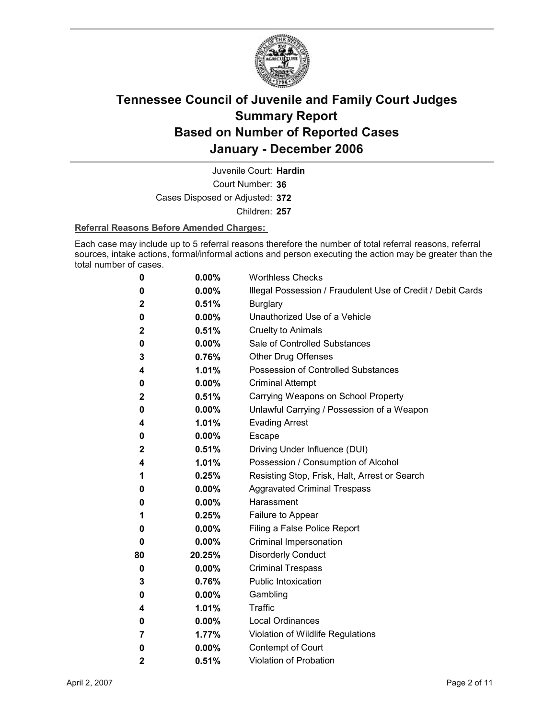

Court Number: **36** Juvenile Court: **Hardin** Cases Disposed or Adjusted: **372** Children: **257**

### **Referral Reasons Before Amended Charges:**

Each case may include up to 5 referral reasons therefore the number of total referral reasons, referral sources, intake actions, formal/informal actions and person executing the action may be greater than the total number of cases.

| 0            | 0.00%    | <b>Worthless Checks</b>                                     |
|--------------|----------|-------------------------------------------------------------|
| 0            | 0.00%    | Illegal Possession / Fraudulent Use of Credit / Debit Cards |
| $\mathbf 2$  | 0.51%    | <b>Burglary</b>                                             |
| 0            | $0.00\%$ | Unauthorized Use of a Vehicle                               |
| $\mathbf{2}$ | 0.51%    | <b>Cruelty to Animals</b>                                   |
| 0            | $0.00\%$ | Sale of Controlled Substances                               |
| 3            | 0.76%    | <b>Other Drug Offenses</b>                                  |
| 4            | 1.01%    | Possession of Controlled Substances                         |
| 0            | $0.00\%$ | <b>Criminal Attempt</b>                                     |
| $\mathbf{2}$ | 0.51%    | Carrying Weapons on School Property                         |
| 0            | 0.00%    | Unlawful Carrying / Possession of a Weapon                  |
| 4            | 1.01%    | <b>Evading Arrest</b>                                       |
| 0            | $0.00\%$ | <b>Escape</b>                                               |
| $\mathbf{2}$ | 0.51%    | Driving Under Influence (DUI)                               |
| 4            | 1.01%    | Possession / Consumption of Alcohol                         |
| 1            | 0.25%    | Resisting Stop, Frisk, Halt, Arrest or Search               |
| 0            | $0.00\%$ | <b>Aggravated Criminal Trespass</b>                         |
| 0            | $0.00\%$ | Harassment                                                  |
| 1            | 0.25%    | Failure to Appear                                           |
| 0            | $0.00\%$ | Filing a False Police Report                                |
| 0            | 0.00%    | Criminal Impersonation                                      |
| 80           | 20.25%   | <b>Disorderly Conduct</b>                                   |
| 0            | 0.00%    | <b>Criminal Trespass</b>                                    |
| 3            | 0.76%    | <b>Public Intoxication</b>                                  |
| 0            | $0.00\%$ | Gambling                                                    |
| 4            | 1.01%    | Traffic                                                     |
| 0            | $0.00\%$ | <b>Local Ordinances</b>                                     |
| 7            | 1.77%    | Violation of Wildlife Regulations                           |
| 0            | 0.00%    | Contempt of Court                                           |
| $\mathbf 2$  | 0.51%    | Violation of Probation                                      |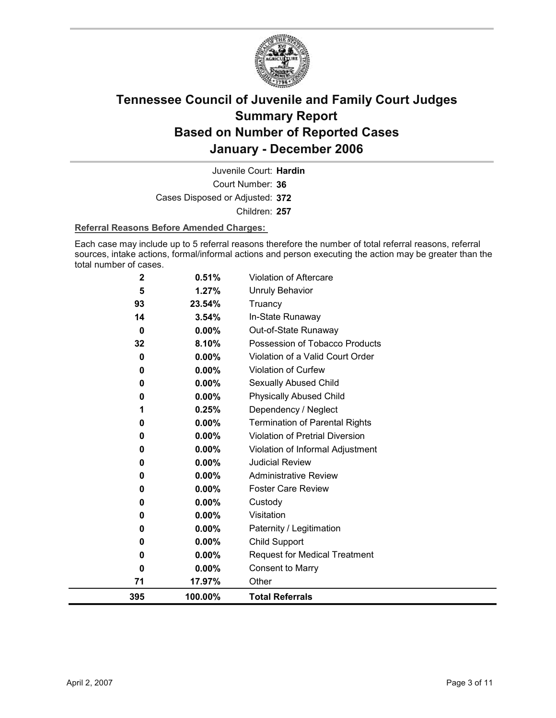

Court Number: **36** Juvenile Court: **Hardin** Cases Disposed or Adjusted: **372** Children: **257**

### **Referral Reasons Before Amended Charges:**

Each case may include up to 5 referral reasons therefore the number of total referral reasons, referral sources, intake actions, formal/informal actions and person executing the action may be greater than the total number of cases.

| $\mathbf 2$ | 0.51%    | Violation of Aftercare                 |
|-------------|----------|----------------------------------------|
| 5           | 1.27%    | <b>Unruly Behavior</b>                 |
| 93          | 23.54%   | Truancy                                |
| 14          | 3.54%    | In-State Runaway                       |
| 0           | $0.00\%$ | Out-of-State Runaway                   |
| 32          | 8.10%    | Possession of Tobacco Products         |
| 0           | 0.00%    | Violation of a Valid Court Order       |
| 0           | 0.00%    | Violation of Curfew                    |
| 0           | 0.00%    | <b>Sexually Abused Child</b>           |
| 0           | $0.00\%$ | <b>Physically Abused Child</b>         |
|             | 0.25%    | Dependency / Neglect                   |
| 0           | 0.00%    | <b>Termination of Parental Rights</b>  |
| 0           | 0.00%    | <b>Violation of Pretrial Diversion</b> |
| 0           | 0.00%    | Violation of Informal Adjustment       |
| 0           | 0.00%    | <b>Judicial Review</b>                 |
| 0           | 0.00%    | <b>Administrative Review</b>           |
| 0           | $0.00\%$ | <b>Foster Care Review</b>              |
| 0           | 0.00%    | Custody                                |
| 0           | 0.00%    | Visitation                             |
| 0           | 0.00%    | Paternity / Legitimation               |
| 0           | 0.00%    | Child Support                          |
| 0           | $0.00\%$ | <b>Request for Medical Treatment</b>   |
| 0           | 0.00%    | <b>Consent to Marry</b>                |
| 71          | 17.97%   | Other                                  |
| 395         | 100.00%  | <b>Total Referrals</b>                 |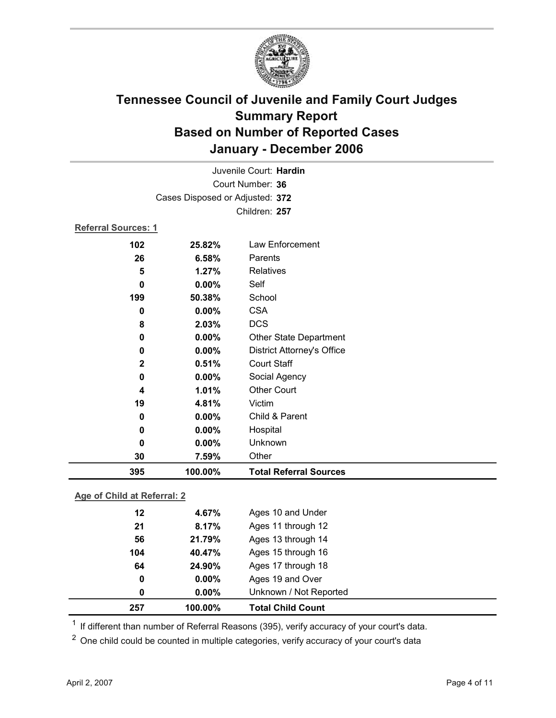

| Juvenile Court: Hardin      |                                 |                                   |  |  |
|-----------------------------|---------------------------------|-----------------------------------|--|--|
| Court Number: 36            |                                 |                                   |  |  |
|                             | Cases Disposed or Adjusted: 372 |                                   |  |  |
|                             |                                 | Children: 257                     |  |  |
| <b>Referral Sources: 1</b>  |                                 |                                   |  |  |
| 102                         | 25.82%                          | Law Enforcement                   |  |  |
| 26                          | 6.58%                           | Parents                           |  |  |
| 5                           | 1.27%                           | Relatives                         |  |  |
| $\mathbf 0$                 | 0.00%                           | Self                              |  |  |
| 199                         | 50.38%                          | School                            |  |  |
| 0                           | 0.00%                           | <b>CSA</b>                        |  |  |
| 8                           | 2.03%                           | <b>DCS</b>                        |  |  |
| $\bf{0}$                    | 0.00%                           | <b>Other State Department</b>     |  |  |
| 0                           | 0.00%                           | <b>District Attorney's Office</b> |  |  |
| $\mathbf 2$                 | 0.51%                           | <b>Court Staff</b>                |  |  |
| $\mathbf 0$                 | 0.00%                           | Social Agency                     |  |  |
| 4                           | 1.01%                           | <b>Other Court</b>                |  |  |
| 19                          | 4.81%                           | Victim                            |  |  |
| $\bf{0}$                    | 0.00%                           | Child & Parent                    |  |  |
| 0                           | 0.00%                           | Hospital                          |  |  |
| $\bf{0}$                    | 0.00%                           | Unknown                           |  |  |
| 30                          | 7.59%                           | Other                             |  |  |
| 395                         | 100.00%                         | <b>Total Referral Sources</b>     |  |  |
| Age of Child at Referral: 2 |                                 |                                   |  |  |
| 12                          | 4.67%                           | Ages 10 and Under                 |  |  |
| 21                          | 8.17%                           | Ages 11 through 12                |  |  |
| 56                          | 21.79%                          | Ages 13 through 14                |  |  |
| 104                         | 40.47%                          | Ages 15 through 16                |  |  |

**64 24.90%** Ages 17 through 18 **0 0.00%** Ages 19 and Over **0 0.00%** Unknown / Not Reported **257 100.00% Total Child Count**

<sup>1</sup> If different than number of Referral Reasons (395), verify accuracy of your court's data.

<sup>2</sup> One child could be counted in multiple categories, verify accuracy of your court's data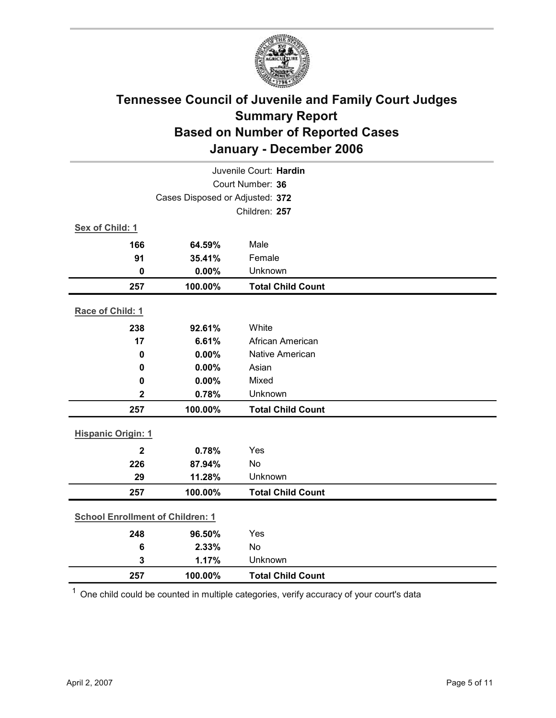

| Juvenile Court: Hardin                  |                                 |                          |  |  |
|-----------------------------------------|---------------------------------|--------------------------|--|--|
| Court Number: 36                        |                                 |                          |  |  |
|                                         | Cases Disposed or Adjusted: 372 |                          |  |  |
|                                         |                                 | Children: 257            |  |  |
| Sex of Child: 1                         |                                 |                          |  |  |
| 166                                     | 64.59%                          | Male                     |  |  |
| 91                                      | 35.41%                          | Female                   |  |  |
| $\mathbf 0$                             | 0.00%                           | Unknown                  |  |  |
| 257                                     | 100.00%                         | <b>Total Child Count</b> |  |  |
| Race of Child: 1                        |                                 |                          |  |  |
| 238                                     | 92.61%                          | White                    |  |  |
| 17                                      | 6.61%                           | African American         |  |  |
| $\mathbf 0$                             | 0.00%                           | <b>Native American</b>   |  |  |
| 0                                       | 0.00%                           | Asian                    |  |  |
| $\mathbf 0$                             | 0.00%                           | Mixed                    |  |  |
| $\mathbf{2}$                            | 0.78%                           | Unknown                  |  |  |
| 257                                     | 100.00%                         | <b>Total Child Count</b> |  |  |
| <b>Hispanic Origin: 1</b>               |                                 |                          |  |  |
| $\overline{2}$                          | 0.78%                           | Yes                      |  |  |
| 226                                     | 87.94%                          | No                       |  |  |
| 29                                      | 11.28%                          | Unknown                  |  |  |
| 257                                     | 100.00%                         | <b>Total Child Count</b> |  |  |
| <b>School Enrollment of Children: 1</b> |                                 |                          |  |  |
| 248                                     | 96.50%                          | Yes                      |  |  |
| $6\phantom{1}6$                         | 2.33%                           | No                       |  |  |
| 3                                       | 1.17%                           | Unknown                  |  |  |
| 257                                     | 100.00%                         | <b>Total Child Count</b> |  |  |

 $1$  One child could be counted in multiple categories, verify accuracy of your court's data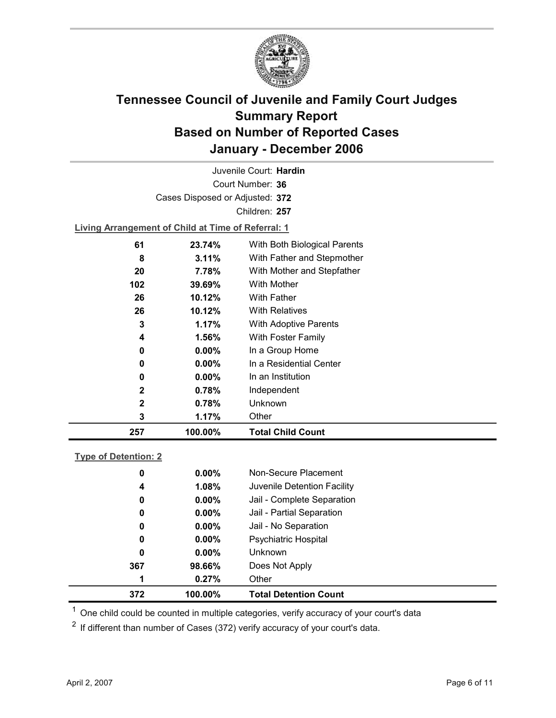

Court Number: **36** Juvenile Court: **Hardin** Cases Disposed or Adjusted: **372** Children: **257 Living Arrangement of Child at Time of Referral: 1 61 23.74%** With Both Biological Parents **8 3.11%** With Father and Stepmother

| 257 | 100.00%  | <b>Total Child Count</b>   |
|-----|----------|----------------------------|
| 3   | 1.17%    | Other                      |
| 2   | 0.78%    | Unknown                    |
| 2   | 0.78%    | Independent                |
| 0   | $0.00\%$ | In an Institution          |
| 0   | $0.00\%$ | In a Residential Center    |
| 0   | $0.00\%$ | In a Group Home            |
| 4   | 1.56%    | With Foster Family         |
| 3   | 1.17%    | With Adoptive Parents      |
| 26  | 10.12%   | <b>With Relatives</b>      |
| 26  | 10.12%   | <b>With Father</b>         |
| 102 | 39.69%   | With Mother                |
| 20  | 7.78%    | With Mother and Stepfather |
|     |          |                            |

### **Type of Detention: 2**

| 372 | 100.00%  | <b>Total Detention Count</b> |
|-----|----------|------------------------------|
| 1   | 0.27%    | Other                        |
| 367 | 98.66%   | Does Not Apply               |
| 0   | $0.00\%$ | <b>Unknown</b>               |
| 0   | $0.00\%$ | Psychiatric Hospital         |
| 0   | $0.00\%$ | Jail - No Separation         |
| 0   | $0.00\%$ | Jail - Partial Separation    |
| 0   | $0.00\%$ | Jail - Complete Separation   |
| 4   | 1.08%    | Juvenile Detention Facility  |
| 0   | $0.00\%$ | Non-Secure Placement         |
|     |          |                              |

 $<sup>1</sup>$  One child could be counted in multiple categories, verify accuracy of your court's data</sup>

 $2$  If different than number of Cases (372) verify accuracy of your court's data.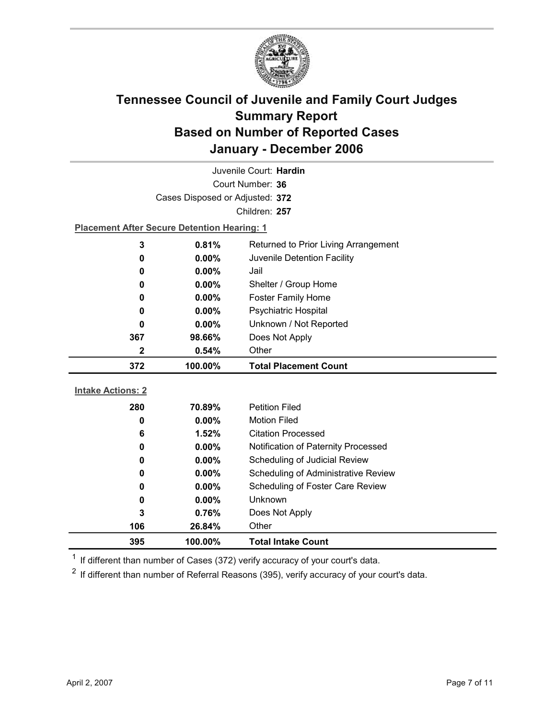

| Juvenile Court: Hardin   |                                                    |                                      |  |  |  |  |
|--------------------------|----------------------------------------------------|--------------------------------------|--|--|--|--|
| Court Number: 36         |                                                    |                                      |  |  |  |  |
|                          | Cases Disposed or Adjusted: 372                    |                                      |  |  |  |  |
|                          |                                                    | Children: 257                        |  |  |  |  |
|                          | <b>Placement After Secure Detention Hearing: 1</b> |                                      |  |  |  |  |
| 3                        | 0.81%                                              | Returned to Prior Living Arrangement |  |  |  |  |
| 0                        | 0.00%                                              | Juvenile Detention Facility          |  |  |  |  |
| 0                        | $0.00\%$                                           | Jail                                 |  |  |  |  |
| 0                        | 0.00%                                              | Shelter / Group Home                 |  |  |  |  |
| 0                        | $0.00\%$                                           | <b>Foster Family Home</b>            |  |  |  |  |
| 0                        | $0.00\%$                                           | <b>Psychiatric Hospital</b>          |  |  |  |  |
| 0                        | 0.00%                                              | Unknown / Not Reported               |  |  |  |  |
| 367                      | 98.66%                                             | Does Not Apply                       |  |  |  |  |
| 2                        | 0.54%                                              | Other                                |  |  |  |  |
| 372                      | 100.00%                                            | <b>Total Placement Count</b>         |  |  |  |  |
|                          |                                                    |                                      |  |  |  |  |
|                          |                                                    |                                      |  |  |  |  |
| <b>Intake Actions: 2</b> |                                                    |                                      |  |  |  |  |
| 280                      | 70.89%                                             | <b>Petition Filed</b>                |  |  |  |  |
| 0                        | $0.00\%$                                           | <b>Motion Filed</b>                  |  |  |  |  |
| 6                        | 1.52%                                              | <b>Citation Processed</b>            |  |  |  |  |
| 0                        | 0.00%                                              | Notification of Paternity Processed  |  |  |  |  |
| 0                        | $0.00\%$                                           | Scheduling of Judicial Review        |  |  |  |  |
| 0                        | 0.00%                                              | Scheduling of Administrative Review  |  |  |  |  |
| 0                        | 0.00%                                              | Scheduling of Foster Care Review     |  |  |  |  |
| 0                        | $0.00\%$                                           | Unknown                              |  |  |  |  |
| 3                        | 0.76%                                              | Does Not Apply                       |  |  |  |  |
| 106<br>395               | 26.84%<br>100.00%                                  | Other<br><b>Total Intake Count</b>   |  |  |  |  |

 $1$  If different than number of Cases (372) verify accuracy of your court's data.

 $2$  If different than number of Referral Reasons (395), verify accuracy of your court's data.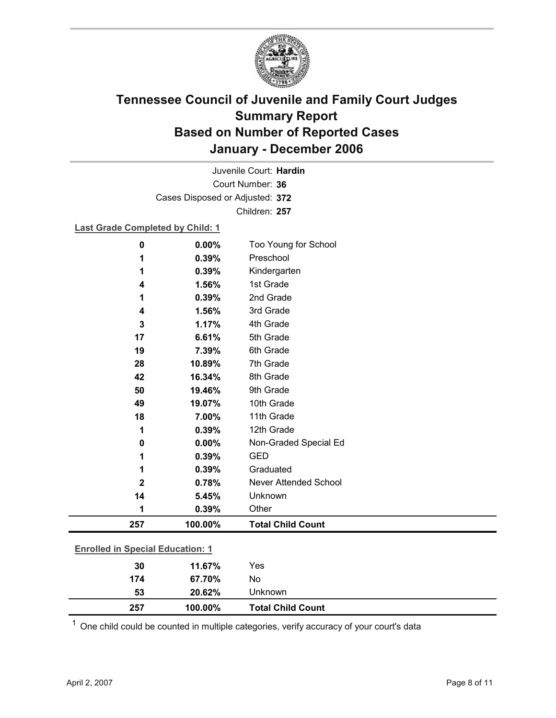

Court Number: **36** Juvenile Court: **Hardin** Cases Disposed or Adjusted: **372** Children: **257**

### **Last Grade Completed by Child: 1**

| 0                                       | 0.00%    | Too Young for School         |  |
|-----------------------------------------|----------|------------------------------|--|
| 1                                       | 0.39%    | Preschool                    |  |
| 1                                       | 0.39%    | Kindergarten                 |  |
| 4                                       | 1.56%    | 1st Grade                    |  |
| 1                                       | 0.39%    | 2nd Grade                    |  |
| 4                                       | 1.56%    | 3rd Grade                    |  |
| 3                                       | 1.17%    | 4th Grade                    |  |
| 17                                      | 6.61%    | 5th Grade                    |  |
| 19                                      | 7.39%    | 6th Grade                    |  |
| 28                                      | 10.89%   | 7th Grade                    |  |
| 42                                      | 16.34%   | 8th Grade                    |  |
| 50                                      | 19.46%   | 9th Grade                    |  |
| 49                                      | 19.07%   | 10th Grade                   |  |
| 18                                      | 7.00%    | 11th Grade                   |  |
| 1                                       | 0.39%    | 12th Grade                   |  |
| 0                                       | $0.00\%$ | Non-Graded Special Ed        |  |
| 1                                       | 0.39%    | <b>GED</b>                   |  |
| 1                                       | 0.39%    | Graduated                    |  |
| $\mathbf 2$                             | 0.78%    | <b>Never Attended School</b> |  |
| 14                                      | 5.45%    | Unknown                      |  |
| 1                                       | 0.39%    | Other                        |  |
| 257                                     | 100.00%  | <b>Total Child Count</b>     |  |
|                                         |          |                              |  |
| <b>Enrolled in Special Education: 1</b> |          |                              |  |
| 30                                      | 11.67%   | Yes                          |  |
| 174                                     | 67.70%   | No                           |  |

 $1$  One child could be counted in multiple categories, verify accuracy of your court's data

**53 20.62%** Unknown

**257 100.00% Total Child Count**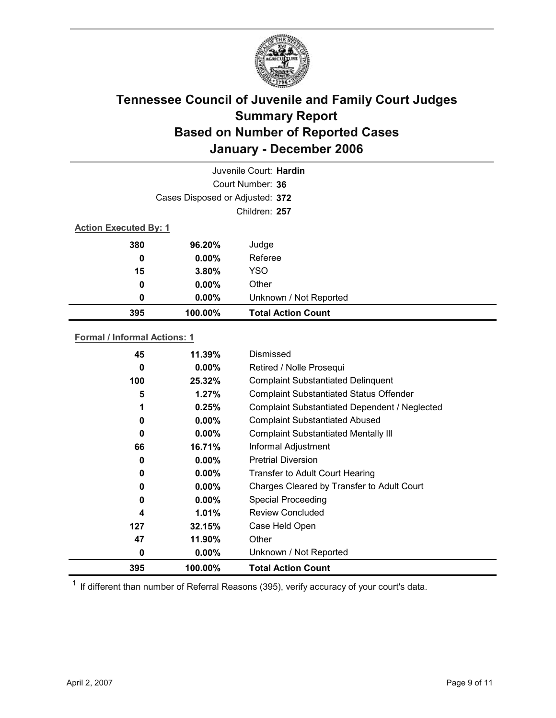

|                              |                                 | Juvenile Court: Hardin    |
|------------------------------|---------------------------------|---------------------------|
|                              |                                 | Court Number: 36          |
|                              | Cases Disposed or Adjusted: 372 |                           |
|                              |                                 | Children: 257             |
| <b>Action Executed By: 1</b> |                                 |                           |
| 380                          | 96.20%                          | Judge                     |
| 0                            | $0.00\%$                        | Referee                   |
| 15                           | 3.80%                           | <b>YSO</b>                |
| 0                            | $0.00\%$                        | Other                     |
| 0                            | 0.00%                           | Unknown / Not Reported    |
| 395                          | 100.00%                         | <b>Total Action Count</b> |

### **Formal / Informal Actions: 1**

| 45  | 11.39%   | Dismissed                                      |
|-----|----------|------------------------------------------------|
| 0   | $0.00\%$ | Retired / Nolle Prosequi                       |
| 100 | 25.32%   | <b>Complaint Substantiated Delinquent</b>      |
| 5   | 1.27%    | <b>Complaint Substantiated Status Offender</b> |
| 1   | 0.25%    | Complaint Substantiated Dependent / Neglected  |
| 0   | $0.00\%$ | <b>Complaint Substantiated Abused</b>          |
| 0   | $0.00\%$ | <b>Complaint Substantiated Mentally III</b>    |
| 66  | 16.71%   | Informal Adjustment                            |
| 0   | $0.00\%$ | <b>Pretrial Diversion</b>                      |
| 0   | $0.00\%$ | <b>Transfer to Adult Court Hearing</b>         |
| 0   | $0.00\%$ | Charges Cleared by Transfer to Adult Court     |
| 0   | $0.00\%$ | <b>Special Proceeding</b>                      |
| 4   | $1.01\%$ | <b>Review Concluded</b>                        |
| 127 | 32.15%   | Case Held Open                                 |
| 47  | 11.90%   | Other                                          |
| 0   | $0.00\%$ | Unknown / Not Reported                         |
| 395 | 100.00%  | <b>Total Action Count</b>                      |

 $1$  If different than number of Referral Reasons (395), verify accuracy of your court's data.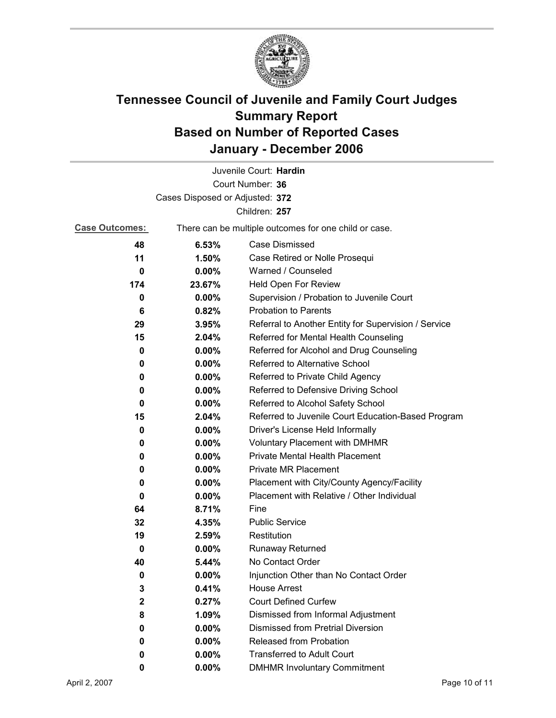

| Juvenile Court: Hardin                                                         |                                 |                                                      |  |
|--------------------------------------------------------------------------------|---------------------------------|------------------------------------------------------|--|
| Court Number: 36                                                               |                                 |                                                      |  |
|                                                                                | Cases Disposed or Adjusted: 372 |                                                      |  |
|                                                                                |                                 | Children: 257                                        |  |
| <b>Case Outcomes:</b><br>There can be multiple outcomes for one child or case. |                                 |                                                      |  |
| 48                                                                             | 6.53%                           | Case Dismissed                                       |  |
| 11                                                                             | 1.50%                           | Case Retired or Nolle Prosequi                       |  |
| 0                                                                              | 0.00%                           | Warned / Counseled                                   |  |
| 174                                                                            | 23.67%                          | Held Open For Review                                 |  |
| 0                                                                              | $0.00\%$                        | Supervision / Probation to Juvenile Court            |  |
| 6                                                                              | 0.82%                           | <b>Probation to Parents</b>                          |  |
| 29                                                                             | 3.95%                           | Referral to Another Entity for Supervision / Service |  |
| 15                                                                             | 2.04%                           | Referred for Mental Health Counseling                |  |
| 0                                                                              | $0.00\%$                        | Referred for Alcohol and Drug Counseling             |  |
| 0                                                                              | $0.00\%$                        | Referred to Alternative School                       |  |
| 0                                                                              | $0.00\%$                        | Referred to Private Child Agency                     |  |
| 0                                                                              | $0.00\%$                        | Referred to Defensive Driving School                 |  |
| 0                                                                              | $0.00\%$                        | Referred to Alcohol Safety School                    |  |
| 15                                                                             | 2.04%                           | Referred to Juvenile Court Education-Based Program   |  |
| 0                                                                              | 0.00%                           | Driver's License Held Informally                     |  |
| 0                                                                              | $0.00\%$                        | <b>Voluntary Placement with DMHMR</b>                |  |
| 0                                                                              | $0.00\%$                        | <b>Private Mental Health Placement</b>               |  |
| 0                                                                              | $0.00\%$                        | <b>Private MR Placement</b>                          |  |
| 0                                                                              | $0.00\%$                        | Placement with City/County Agency/Facility           |  |
| 0                                                                              | $0.00\%$                        | Placement with Relative / Other Individual           |  |
| 64                                                                             | 8.71%                           | Fine                                                 |  |
| 32                                                                             | 4.35%                           | <b>Public Service</b>                                |  |
| 19                                                                             | 2.59%                           | Restitution                                          |  |
| 0                                                                              | $0.00\%$                        | <b>Runaway Returned</b>                              |  |
| 40                                                                             | 5.44%                           | No Contact Order                                     |  |
| 0                                                                              | $0.00\%$                        | Injunction Other than No Contact Order               |  |
| 3                                                                              | 0.41%                           | <b>House Arrest</b>                                  |  |
| $\mathbf{2}$                                                                   | 0.27%                           | <b>Court Defined Curfew</b>                          |  |
| 8                                                                              | 1.09%                           | Dismissed from Informal Adjustment                   |  |
| 0                                                                              | $0.00\%$                        | <b>Dismissed from Pretrial Diversion</b>             |  |
| 0                                                                              | $0.00\%$                        | Released from Probation                              |  |
| 0                                                                              | $0.00\%$                        | <b>Transferred to Adult Court</b>                    |  |
| 0                                                                              | $0.00\%$                        | <b>DMHMR Involuntary Commitment</b>                  |  |